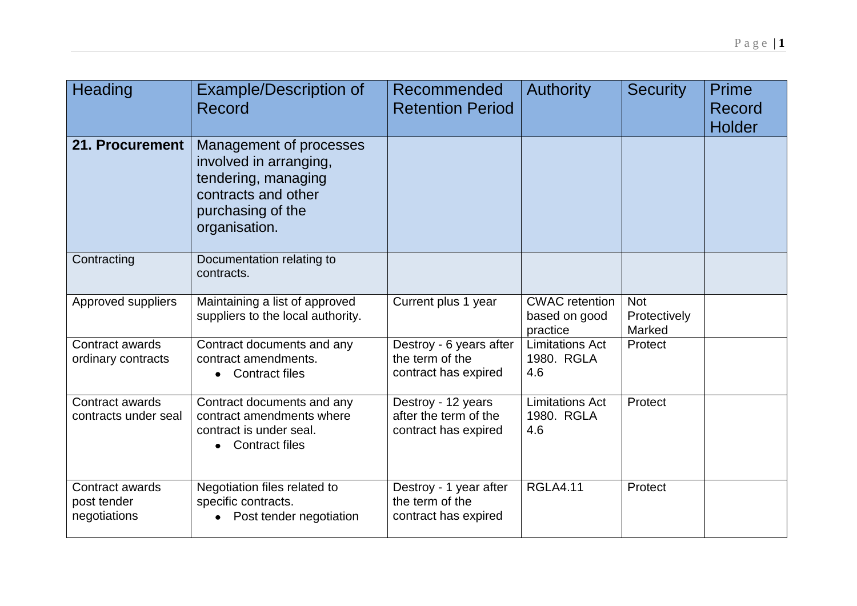| Heading                                        | <b>Example/Description of</b><br>Record                                                                                               | Recommended<br><b>Retention Period</b>                              | <b>Authority</b>                                   | <b>Security</b>                      | Prime<br>Record<br><b>Holder</b> |
|------------------------------------------------|---------------------------------------------------------------------------------------------------------------------------------------|---------------------------------------------------------------------|----------------------------------------------------|--------------------------------------|----------------------------------|
| 21. Procurement                                | Management of processes<br>involved in arranging,<br>tendering, managing<br>contracts and other<br>purchasing of the<br>organisation. |                                                                     |                                                    |                                      |                                  |
| Contracting                                    | Documentation relating to<br>contracts.                                                                                               |                                                                     |                                                    |                                      |                                  |
| Approved suppliers                             | Maintaining a list of approved<br>suppliers to the local authority.                                                                   | Current plus 1 year                                                 | <b>CWAC</b> retention<br>based on good<br>practice | <b>Not</b><br>Protectively<br>Marked |                                  |
| Contract awards<br>ordinary contracts          | Contract documents and any<br>contract amendments.<br><b>Contract files</b><br>$\bullet$                                              | Destroy - 6 years after<br>the term of the<br>contract has expired  | <b>Limitations Act</b><br>1980. RGLA<br>4.6        | Protect                              |                                  |
| Contract awards<br>contracts under seal        | Contract documents and any<br>contract amendments where<br>contract is under seal.<br><b>Contract files</b>                           | Destroy - 12 years<br>after the term of the<br>contract has expired | <b>Limitations Act</b><br>1980. RGLA<br>4.6        | Protect                              |                                  |
| Contract awards<br>post tender<br>negotiations | Negotiation files related to<br>specific contracts.<br>Post tender negotiation                                                        | Destroy - 1 year after<br>the term of the<br>contract has expired   | <b>RGLA4.11</b>                                    | Protect                              |                                  |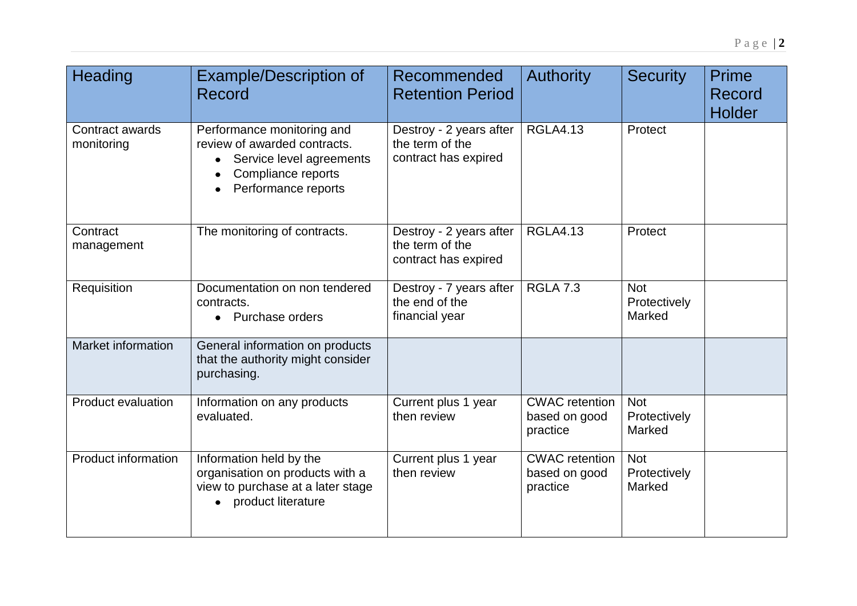| Heading                       | <b>Example/Description of</b><br>Record                                                                                             | Recommended<br><b>Retention Period</b>                             | <b>Authority</b>                                   | <b>Security</b>                      | Prime<br><b>Record</b><br><b>Holder</b> |
|-------------------------------|-------------------------------------------------------------------------------------------------------------------------------------|--------------------------------------------------------------------|----------------------------------------------------|--------------------------------------|-----------------------------------------|
| Contract awards<br>monitoring | Performance monitoring and<br>review of awarded contracts.<br>Service level agreements<br>Compliance reports<br>Performance reports | Destroy - 2 years after<br>the term of the<br>contract has expired | <b>RGLA4.13</b>                                    | Protect                              |                                         |
| Contract<br>management        | The monitoring of contracts.                                                                                                        | Destroy - 2 years after<br>the term of the<br>contract has expired | <b>RGLA4.13</b>                                    | Protect                              |                                         |
| Requisition                   | Documentation on non tendered<br>contracts.<br>Purchase orders                                                                      | Destroy - 7 years after<br>the end of the<br>financial year        | <b>RGLA 7.3</b>                                    | <b>Not</b><br>Protectively<br>Marked |                                         |
| Market information            | General information on products<br>that the authority might consider<br>purchasing.                                                 |                                                                    |                                                    |                                      |                                         |
| <b>Product evaluation</b>     | Information on any products<br>evaluated.                                                                                           | Current plus 1 year<br>then review                                 | <b>CWAC</b> retention<br>based on good<br>practice | <b>Not</b><br>Protectively<br>Marked |                                         |
| <b>Product information</b>    | Information held by the<br>organisation on products with a<br>view to purchase at a later stage<br>product literature               | Current plus 1 year<br>then review                                 | <b>CWAC</b> retention<br>based on good<br>practice | <b>Not</b><br>Protectively<br>Marked |                                         |